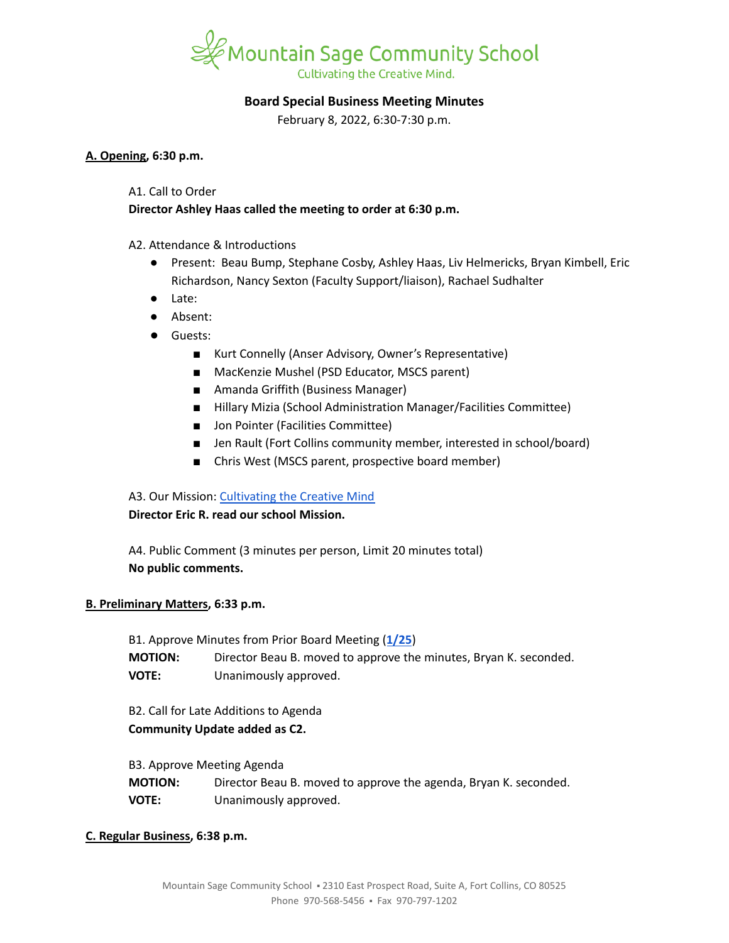

# **Board Special Business Meeting Minutes**

February 8, 2022, 6:30-7:30 p.m.

#### **A. Opening, 6:30 p.m.**

#### A1. Call to Order

# **Director Ashley Haas called the meeting to order at 6:30 p.m.**

A2. Attendance & Introductions

- Present: Beau Bump, Stephane Cosby, Ashley Haas, Liv Helmericks, Bryan Kimbell, Eric Richardson, Nancy Sexton (Faculty Support/liaison), Rachael Sudhalter
- Late:
- Absent:
- Guests:
	- Kurt Connelly (Anser Advisory, Owner's Representative)
	- MacKenzie Mushel (PSD Educator, MSCS parent)
	- Amanda Griffith (Business Manager)
	- Hillary Mizia (School Administration Manager/Facilities Committee)
	- Jon Pointer (Facilities Committee)
	- Jen Rault (Fort Collins community member, interested in school/board)
	- Chris West (MSCS parent, prospective board member)

## A3. Our Mission: [Cultivating](https://www.mountainsage.org/about-us/mission-and-vision/) the Creative Mind

## **Director Eric R. read our school Mission.**

A4. Public Comment (3 minutes per person, Limit 20 minutes total) **No public comments.**

## **B. Preliminary Matters, 6:33 p.m.**

B1. Approve Minutes from Prior Board Meeting (**[1/25](https://docs.google.com/document/d/1PN_Jyts5pkYjWgkTeYfK4STZQqlTsc0MF-67QbUsDHg)**) **MOTION:** Director Beau B. moved to approve the minutes, Bryan K. seconded. **VOTE:** Unanimously approved.

B2. Call for Late Additions to Agenda **Community Update added as C2.**

B3. Approve Meeting Agenda

**MOTION:** Director Beau B. moved to approve the agenda, Bryan K. seconded. **VOTE:** Unanimously approved.

## **C. Regular Business, 6:38 p.m.**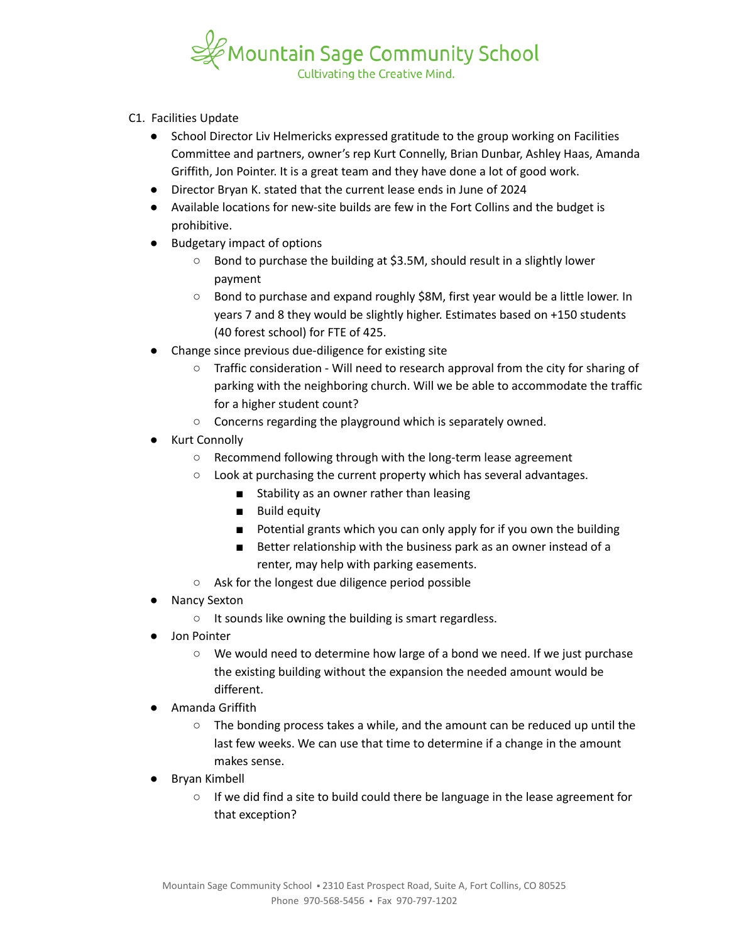

- C1. Facilities Update
	- School Director Liv Helmericks expressed gratitude to the group working on Facilities Committee and partners, owner's rep Kurt Connelly, Brian Dunbar, Ashley Haas, Amanda Griffith, Jon Pointer. It is a great team and they have done a lot of good work.
	- Director Bryan K. stated that the current lease ends in June of 2024
	- Available locations for new-site builds are few in the Fort Collins and the budget is prohibitive.
	- Budgetary impact of options
		- Bond to purchase the building at \$3.5M, should result in a slightly lower payment
		- Bond to purchase and expand roughly \$8M, first year would be a little lower. In years 7 and 8 they would be slightly higher. Estimates based on +150 students (40 forest school) for FTE of 425.
	- Change since previous due-diligence for existing site
		- $\circ$  Traffic consideration Will need to research approval from the city for sharing of parking with the neighboring church. Will we be able to accommodate the traffic for a higher student count?
		- Concerns regarding the playground which is separately owned.
	- Kurt Connolly
		- Recommend following through with the long-term lease agreement
		- Look at purchasing the current property which has several advantages.
			- Stability as an owner rather than leasing
			- Build equity
			- Potential grants which you can only apply for if you own the building
			- Better relationship with the business park as an owner instead of a renter, may help with parking easements.
		- Ask for the longest due diligence period possible
	- **Nancy Sexton** 
		- It sounds like owning the building is smart regardless.
	- Jon Pointer
		- We would need to determine how large of a bond we need. If we just purchase the existing building without the expansion the needed amount would be different.
	- Amanda Griffith
		- The bonding process takes a while, and the amount can be reduced up until the last few weeks. We can use that time to determine if a change in the amount makes sense.
	- Bryan Kimbell
		- If we did find a site to build could there be language in the lease agreement for that exception?